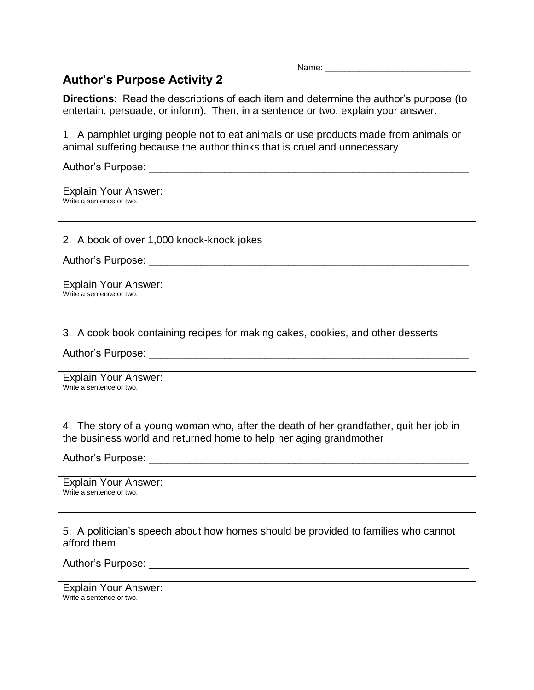Name: \_\_\_\_\_\_\_\_\_\_\_\_\_\_\_\_\_\_\_\_\_\_\_\_\_\_\_\_\_\_

## **Author's Purpose Activity 2**

**Directions**: Read the descriptions of each item and determine the author's purpose (to entertain, persuade, or inform). Then, in a sentence or two, explain your answer.

1. A pamphlet urging people not to eat animals or use products made from animals or animal suffering because the author thinks that is cruel and unnecessary

Author's Purpose:

Explain Your Answer: Write a sentence or two.

2. A book of over 1,000 knock-knock jokes

Author's Purpose: \_\_\_\_\_\_\_\_\_\_\_\_\_\_\_\_\_\_\_\_\_\_\_\_\_\_\_\_\_\_\_\_\_\_\_\_\_\_\_\_\_\_\_\_\_\_\_\_\_\_\_\_\_\_\_

Explain Your Answer: Write a sentence or two.

3. A cook book containing recipes for making cakes, cookies, and other desserts

Author's Purpose: \_\_\_\_\_\_\_\_\_\_\_\_\_\_\_\_\_\_\_\_\_\_\_\_\_\_\_\_\_\_\_\_\_\_\_\_\_\_\_\_\_\_\_\_\_\_\_\_\_\_\_\_\_\_\_

Explain Your Answer: Write a sentence or two.

4. The story of a young woman who, after the death of her grandfather, quit her job in the business world and returned home to help her aging grandmother

Author's Purpose: \_\_\_\_\_\_\_\_\_\_\_\_\_\_\_\_\_\_\_\_\_\_\_\_\_\_\_\_\_\_\_\_\_\_\_\_\_\_\_\_\_\_\_\_\_\_\_\_\_\_\_\_\_\_\_

Explain Your Answer: Write a sentence or two.

5. A politician's speech about how homes should be provided to families who cannot afford them

Author's Purpose: \_\_\_\_\_\_\_\_\_\_\_\_\_\_\_\_\_\_\_\_\_\_\_\_\_\_\_\_\_\_\_\_\_\_\_\_\_\_\_\_\_\_\_\_\_\_\_\_\_\_\_\_\_\_\_

Explain Your Answer: Write a sentence or two.